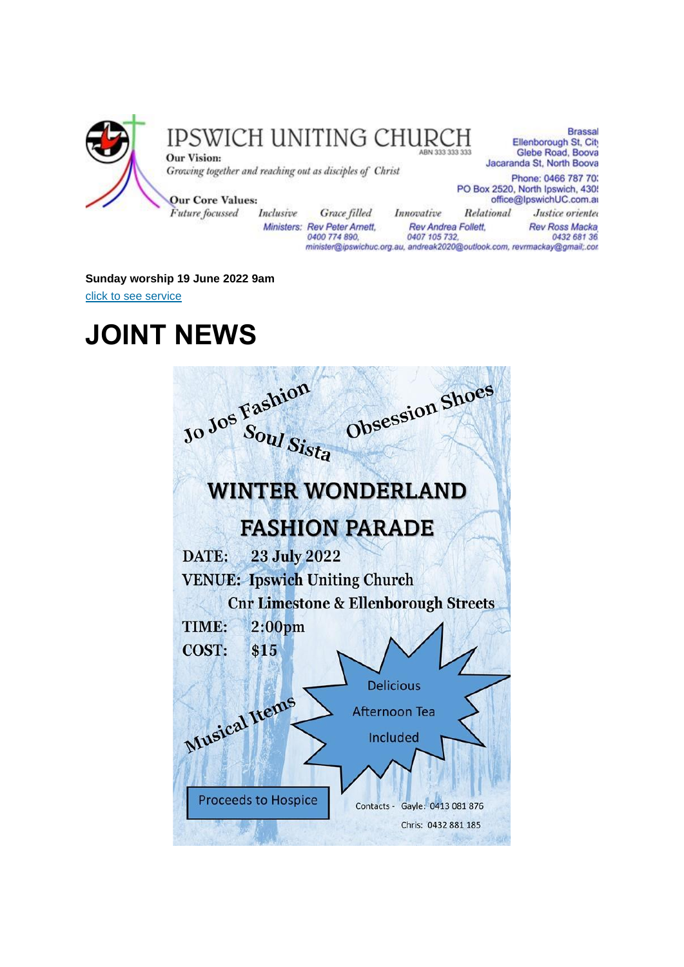

Glebe Road, Booya Jacaranda St, North Boova Phone: 0466 787 703

**Brassal** 

Ministers: Rev Peter Amett. 0400 774 890.

Rev Andrea Follett. 0407 105 732 minister@ipswichuc.org.au, andreak2020@outlook.com, revrmackay@gmail;.con

Justice oriented **Rev Ross Macka** 0432 681 36

#### **Sunday worship 19 June 2022 9am**

[click to see service](https://youtu.be/6G08iFrxEpU)

### **JOINT NEWS**

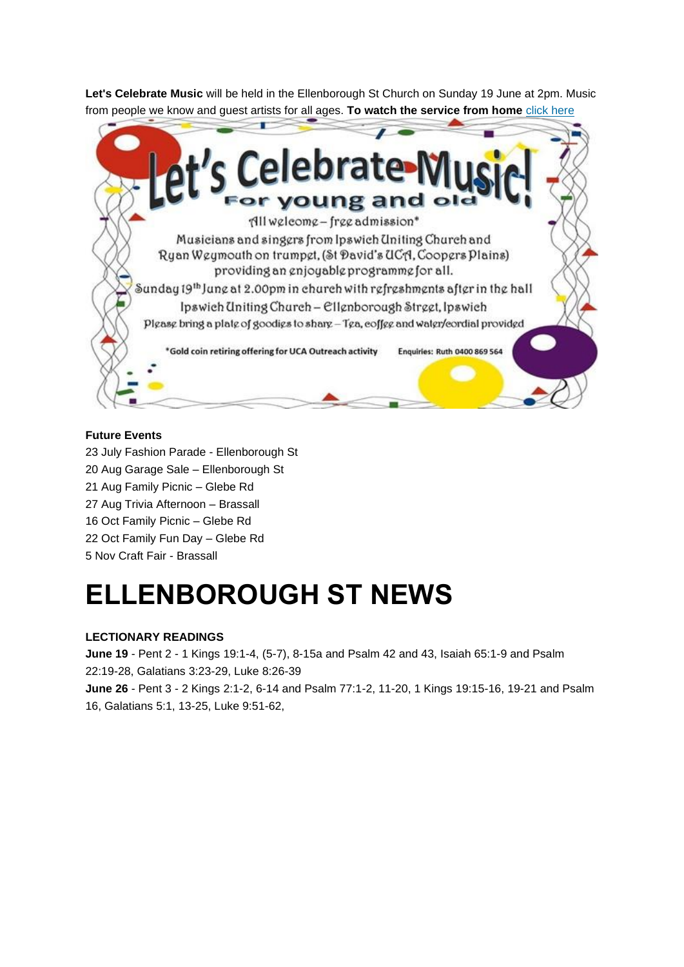**Let's Celebrate Music** will be held in the Ellenborough St Church on Sunday 19 June at 2pm. Music from people we know and guest artists for all ages. **To watch the service from home** [click here](https://youtu.be/_hJyHqlRAkE)



### **Future Events**

- 23 July Fashion Parade Ellenborough St
- 20 Aug Garage Sale Ellenborough St
- 21 Aug Family Picnic Glebe Rd
- 27 Aug Trivia Afternoon Brassall
- 16 Oct Family Picnic Glebe Rd
- 22 Oct Family Fun Day Glebe Rd
- 5 Nov Craft Fair Brassall

## **ELLENBOROUGH ST NEWS**

### **LECTIONARY READINGS**

**June 19** - Pent 2 - 1 Kings 19:1-4, (5-7), 8-15a and Psalm 42 and 43, Isaiah 65:1-9 and Psalm 22:19-28, Galatians 3:23-29, Luke 8:26-39 **June 26** - Pent 3 - 2 Kings 2:1-2, 6-14 and Psalm 77:1-2, 11-20, 1 Kings 19:15-16, 19-21 and Psalm

16, Galatians 5:1, 13-25, Luke 9:51-62,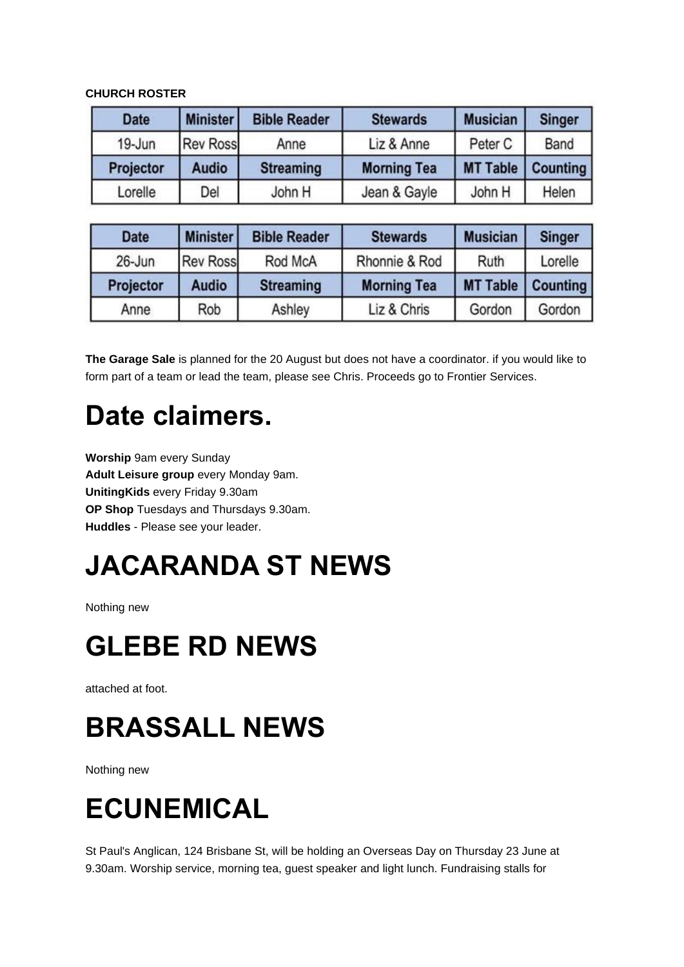### **CHURCH ROSTER**

| <b>Date</b> | <b>Minister</b> | <b>Bible Reader</b> | <b>Stewards</b>    | <b>Musician</b> | <b>Singer</b>   |
|-------------|-----------------|---------------------|--------------------|-----------------|-----------------|
| 19-Jun      | <b>Rev Ross</b> | Anne                | Liz & Anne         | Peter C         | Band            |
| Projector   | <b>Audio</b>    | <b>Streaming</b>    | <b>Morning Tea</b> | <b>MT Table</b> | <b>Counting</b> |
| Lorelle     | Del             | John H              | Jean & Gayle       | John H          | Helen           |

| <b>Date</b> | <b>Minister</b> | <b>Bible Reader</b> | <b>Stewards</b>    | <b>Musician</b> | <b>Singer</b> |
|-------------|-----------------|---------------------|--------------------|-----------------|---------------|
| $26$ -Jun   | <b>Rev Ross</b> | Rod McA             | Rhonnie & Rod      | Ruth            | Lorelle       |
| Projector   | <b>Audio</b>    | <b>Streaming</b>    | <b>Morning Tea</b> | <b>MT Table</b> | Counting      |
| Anne        | Rob             | Ashley              | Liz & Chris        | Gordon          | Gordon        |

**The Garage Sale** is planned for the 20 August but does not have a coordinator. if you would like to form part of a team or lead the team, please see Chris. Proceeds go to Frontier Services.

## **Date claimers.**

**Worship** 9am every Sunday **Adult Leisure group** every Monday 9am. **UnitingKids** every Friday 9.30am **OP Shop** Tuesdays and Thursdays 9.30am. **Huddles** - Please see your leader.

# **JACARANDA ST NEWS**

Nothing new

## **GLEBE RD NEWS**

attached at foot.

## **BRASSALL NEWS**

Nothing new

# **ECUNEMICAL**

St Paul's Anglican, 124 Brisbane St, will be holding an Overseas Day on Thursday 23 June at 9.30am. Worship service, morning tea, guest speaker and light lunch. Fundraising stalls for